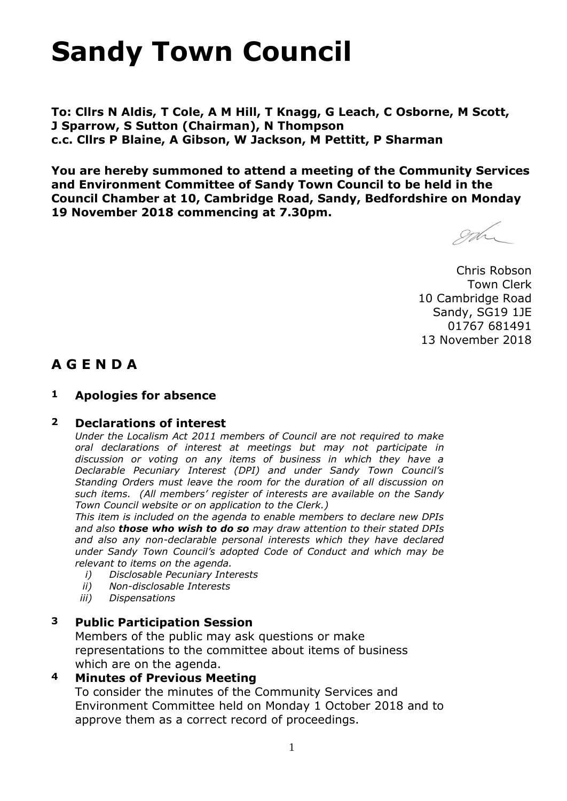# **Sandy Town Council**

**To: Cllrs N Aldis, T Cole, A M Hill, T Knagg, G Leach, C Osborne, M Scott, J Sparrow, S Sutton (Chairman), N Thompson c.c. Cllrs P Blaine, A Gibson, W Jackson, M Pettitt, P Sharman**

**You are hereby summoned to attend a meeting of the Community Services and Environment Committee of Sandy Town Council to be held in the Council Chamber at 10, Cambridge Road, Sandy, Bedfordshire on Monday 19 November 2018 commencing at 7.30pm.**

Soch

Chris Robson Town Clerk 10 Cambridge Road Sandy, SG19 1JE 01767 681491 13 November 2018

#### **A G E N D A**

#### **1 Apologies for absence**

#### **2 Declarations of interest**

*Under the Localism Act 2011 members of Council are not required to make oral declarations of interest at meetings but may not participate in discussion or voting on any items of business in which they have a Declarable Pecuniary Interest (DPI) and under Sandy Town Council's Standing Orders must leave the room for the duration of all discussion on such items. (All members' register of interests are available on the Sandy Town Council website or on application to the Clerk.)* 

*This item is included on the agenda to enable members to declare new DPIs and also those who wish to do so may draw attention to their stated DPIs and also any non-declarable personal interests which they have declared under Sandy Town Council's adopted Code of Conduct and which may be relevant to items on the agenda.* 

- *i) Disclosable Pecuniary Interests*
- *ii) Non-disclosable Interests*
- *iii) Dispensations*

#### **3 Public Participation Session**

Members of the public may ask questions or make representations to the committee about items of business which are on the agenda.

#### **4 Minutes of Previous Meeting**

To consider the minutes of the Community Services and Environment Committee held on Monday 1 October 2018 and to approve them as a correct record of proceedings.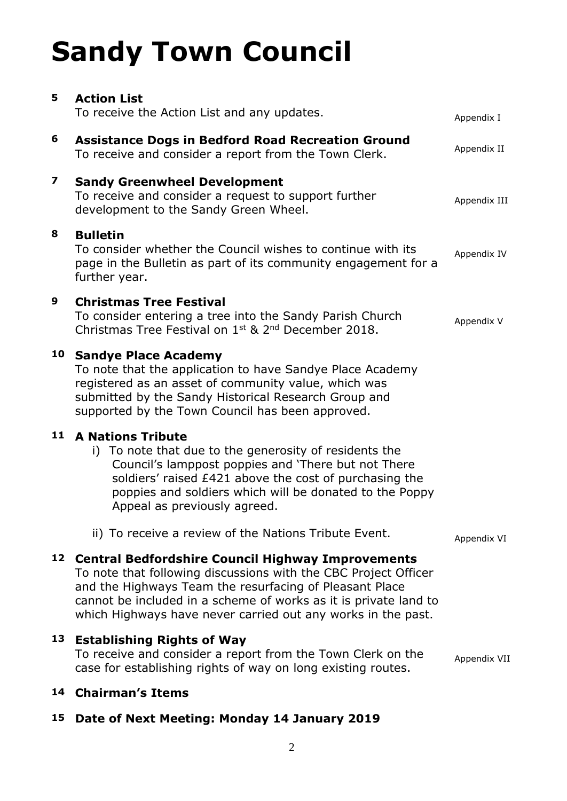# **Sandy Town Council**

| 5  | <b>Action List</b><br>To receive the Action List and any updates.                                                                                                                                                                                                                                                      |                           |
|----|------------------------------------------------------------------------------------------------------------------------------------------------------------------------------------------------------------------------------------------------------------------------------------------------------------------------|---------------------------|
| 6  | <b>Assistance Dogs in Bedford Road Recreation Ground</b>                                                                                                                                                                                                                                                               | Appendix I<br>Appendix II |
|    | To receive and consider a report from the Town Clerk.                                                                                                                                                                                                                                                                  |                           |
| 7  | <b>Sandy Greenwheel Development</b><br>To receive and consider a request to support further<br>development to the Sandy Green Wheel.                                                                                                                                                                                   | Appendix III              |
| 8  | <b>Bulletin</b><br>To consider whether the Council wishes to continue with its<br>page in the Bulletin as part of its community engagement for a<br>further year.                                                                                                                                                      | Appendix IV               |
| 9  | <b>Christmas Tree Festival</b><br>To consider entering a tree into the Sandy Parish Church<br>Christmas Tree Festival on 1st & 2nd December 2018.                                                                                                                                                                      | Appendix V                |
| 10 | <b>Sandye Place Academy</b><br>To note that the application to have Sandye Place Academy<br>registered as an asset of community value, which was<br>submitted by the Sandy Historical Research Group and<br>supported by the Town Council has been approved.                                                           |                           |
| 11 | <b>A Nations Tribute</b><br>i) To note that due to the generosity of residents the<br>Council's lamppost poppies and 'There but not There<br>soldiers' raised £421 above the cost of purchasing the<br>poppies and soldiers which will be donated to the Poppy<br>Appeal as previously agreed.                         |                           |
|    | ii) To receive a review of the Nations Tribute Event.                                                                                                                                                                                                                                                                  | Appendix VI               |
|    | 12 Central Bedfordshire Council Highway Improvements<br>To note that following discussions with the CBC Project Officer<br>and the Highways Team the resurfacing of Pleasant Place<br>cannot be included in a scheme of works as it is private land to<br>which Highways have never carried out any works in the past. |                           |
| 13 | <b>Establishing Rights of Way</b><br>To receive and consider a report from the Town Clerk on the<br>case for establishing rights of way on long existing routes.                                                                                                                                                       | Appendix VII              |
|    | 14 Chairman's Items                                                                                                                                                                                                                                                                                                    |                           |

#### **15 Date of Next Meeting: Monday 14 January 2019**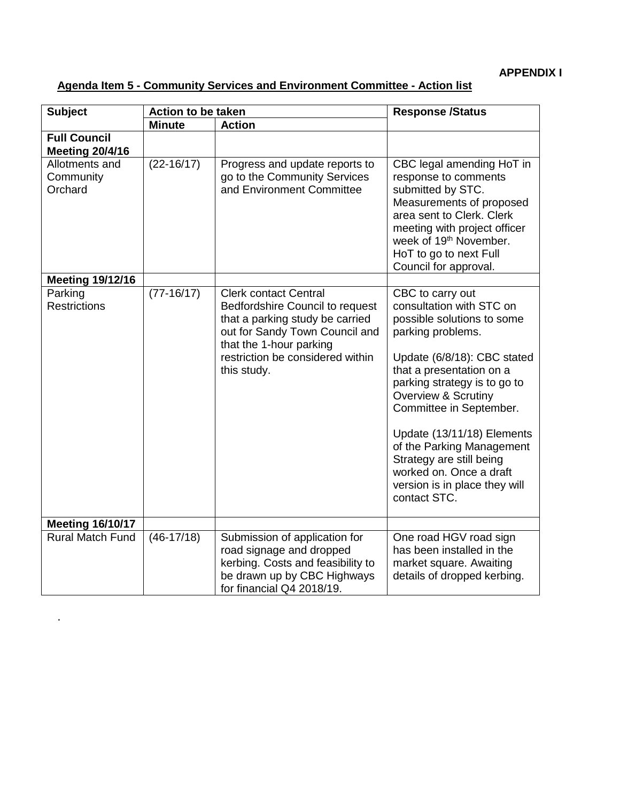| <b>Subject</b>                                | <b>Action to be taken</b> |                                                                                                                                                                                                                    | <b>Response /Status</b>                                                                                                                                                                                                                                                                                                                                                                                                    |  |
|-----------------------------------------------|---------------------------|--------------------------------------------------------------------------------------------------------------------------------------------------------------------------------------------------------------------|----------------------------------------------------------------------------------------------------------------------------------------------------------------------------------------------------------------------------------------------------------------------------------------------------------------------------------------------------------------------------------------------------------------------------|--|
|                                               | <b>Minute</b>             | <b>Action</b>                                                                                                                                                                                                      |                                                                                                                                                                                                                                                                                                                                                                                                                            |  |
| <b>Full Council</b><br><b>Meeting 20/4/16</b> |                           |                                                                                                                                                                                                                    |                                                                                                                                                                                                                                                                                                                                                                                                                            |  |
| Allotments and<br>Community<br>Orchard        | $(22 - 16/17)$            | Progress and update reports to<br>go to the Community Services<br>and Environment Committee                                                                                                                        | CBC legal amending HoT in<br>response to comments<br>submitted by STC.<br>Measurements of proposed<br>area sent to Clerk. Clerk<br>meeting with project officer<br>week of 19 <sup>th</sup> November.<br>HoT to go to next Full<br>Council for approval.                                                                                                                                                                   |  |
| <b>Meeting 19/12/16</b>                       |                           |                                                                                                                                                                                                                    |                                                                                                                                                                                                                                                                                                                                                                                                                            |  |
| Parking<br><b>Restrictions</b>                | $(77-16/17)$              | <b>Clerk contact Central</b><br>Bedfordshire Council to request<br>that a parking study be carried<br>out for Sandy Town Council and<br>that the 1-hour parking<br>restriction be considered within<br>this study. | CBC to carry out<br>consultation with STC on<br>possible solutions to some<br>parking problems.<br>Update (6/8/18): CBC stated<br>that a presentation on a<br>parking strategy is to go to<br><b>Overview &amp; Scrutiny</b><br>Committee in September.<br>Update (13/11/18) Elements<br>of the Parking Management<br>Strategy are still being<br>worked on. Once a draft<br>version is in place they will<br>contact STC. |  |
| <b>Meeting 16/10/17</b>                       |                           |                                                                                                                                                                                                                    |                                                                                                                                                                                                                                                                                                                                                                                                                            |  |
| <b>Rural Match Fund</b>                       | $(46-17/18)$              | Submission of application for<br>road signage and dropped<br>kerbing. Costs and feasibility to<br>be drawn up by CBC Highways<br>for financial Q4 2018/19.                                                         | One road HGV road sign<br>has been installed in the<br>market square. Awaiting<br>details of dropped kerbing.                                                                                                                                                                                                                                                                                                              |  |

.

#### **Agenda Item 5 - Community Services and Environment Committee - Action list**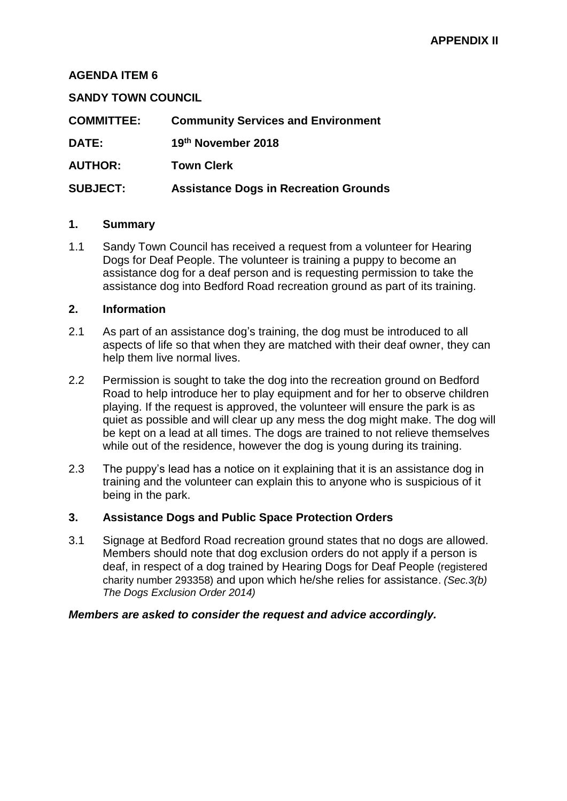#### **AGENDA ITEM 6**

#### **SANDY TOWN COUNCIL**

| <b>COMMITTEE:</b> | <b>Community Services and Environment</b>    |
|-------------------|----------------------------------------------|
| DATE:             | 19th November 2018                           |
| <b>AUTHOR:</b>    | <b>Town Clerk</b>                            |
| <b>SUBJECT:</b>   | <b>Assistance Dogs in Recreation Grounds</b> |

#### **1. Summary**

1.1 Sandy Town Council has received a request from a volunteer for Hearing Dogs for Deaf People. The volunteer is training a puppy to become an assistance dog for a deaf person and is requesting permission to take the assistance dog into Bedford Road recreation ground as part of its training.

#### **2. Information**

- 2.1 As part of an assistance dog's training, the dog must be introduced to all aspects of life so that when they are matched with their deaf owner, they can help them live normal lives.
- 2.2 Permission is sought to take the dog into the recreation ground on Bedford Road to help introduce her to play equipment and for her to observe children playing. If the request is approved, the volunteer will ensure the park is as quiet as possible and will clear up any mess the dog might make. The dog will be kept on a lead at all times. The dogs are trained to not relieve themselves while out of the residence, however the dog is young during its training.
- 2.3 The puppy's lead has a notice on it explaining that it is an assistance dog in training and the volunteer can explain this to anyone who is suspicious of it being in the park.

#### **3. Assistance Dogs and Public Space Protection Orders**

3.1 Signage at Bedford Road recreation ground states that no dogs are allowed. Members should note that dog exclusion orders do not apply if a person is deaf, in respect of a dog trained by Hearing Dogs for Deaf People (registered charity number 293358) and upon which he/she relies for assistance. *(Sec.3(b) The Dogs Exclusion Order 2014)*

#### *Members are asked to consider the request and advice accordingly.*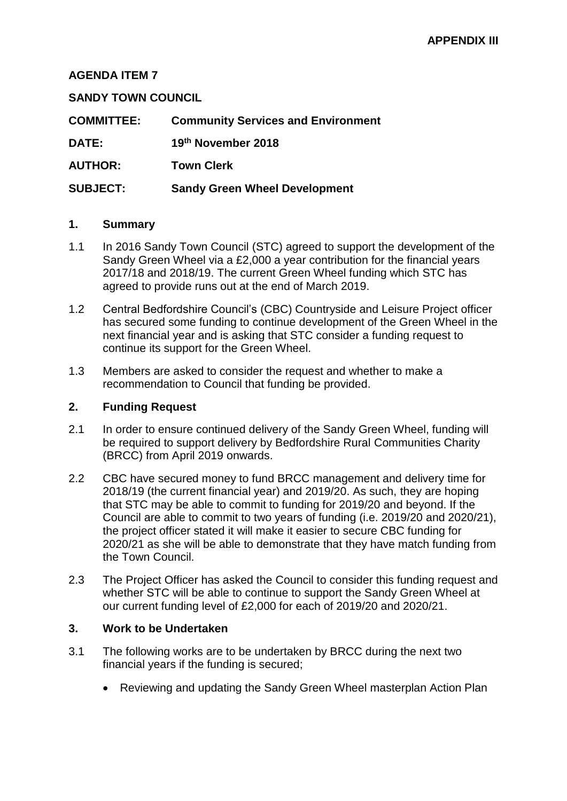#### **AGENDA ITEM 7**

#### **SANDY TOWN COUNCIL**

| <b>COMMITTEE:</b> | <b>Community Services and Environment</b> |
|-------------------|-------------------------------------------|
| <b>DATE:</b>      | 19th November 2018                        |
| <b>AUTHOR:</b>    | <b>Town Clerk</b>                         |
| <b>SUBJECT:</b>   | <b>Sandy Green Wheel Development</b>      |

#### **1. Summary**

- 1.1 In 2016 Sandy Town Council (STC) agreed to support the development of the Sandy Green Wheel via a £2,000 a year contribution for the financial years 2017/18 and 2018/19. The current Green Wheel funding which STC has agreed to provide runs out at the end of March 2019.
- 1.2 Central Bedfordshire Council's (CBC) Countryside and Leisure Project officer has secured some funding to continue development of the Green Wheel in the next financial year and is asking that STC consider a funding request to continue its support for the Green Wheel.
- 1.3 Members are asked to consider the request and whether to make a recommendation to Council that funding be provided.

#### **2. Funding Request**

- 2.1 In order to ensure continued delivery of the Sandy Green Wheel, funding will be required to support delivery by Bedfordshire Rural Communities Charity (BRCC) from April 2019 onwards.
- 2.2 CBC have secured money to fund BRCC management and delivery time for 2018/19 (the current financial year) and 2019/20. As such, they are hoping that STC may be able to commit to funding for 2019/20 and beyond. If the Council are able to commit to two years of funding (i.e. 2019/20 and 2020/21), the project officer stated it will make it easier to secure CBC funding for 2020/21 as she will be able to demonstrate that they have match funding from the Town Council.
- 2.3 The Project Officer has asked the Council to consider this funding request and whether STC will be able to continue to support the Sandy Green Wheel at our current funding level of £2,000 for each of 2019/20 and 2020/21.

#### **3. Work to be Undertaken**

- 3.1 The following works are to be undertaken by BRCC during the next two financial years if the funding is secured;
	- Reviewing and updating the Sandy Green Wheel masterplan Action Plan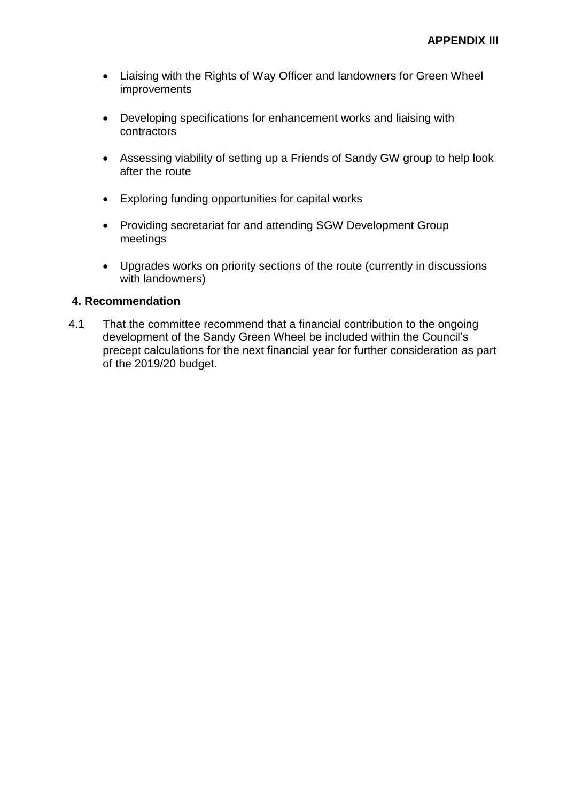- Liaising with the Rights of Way Officer and landowners for Green Wheel improvements
- Developing specifications for enhancement works and liaising with contractors
- Assessing viability of setting up a Friends of Sandy GW group to help look after the route
- Exploring funding opportunities for capital works
- Providing secretariat for and attending SGW Development Group meetings
- Upgrades works on priority sections of the route (currently in discussions with landowners)

#### **4. Recommendation**

4.1 That the committee recommend that a financial contribution to the ongoing development of the Sandy Green Wheel be included within the Council's precept calculations for the next financial year for further consideration as part of the 2019/20 budget.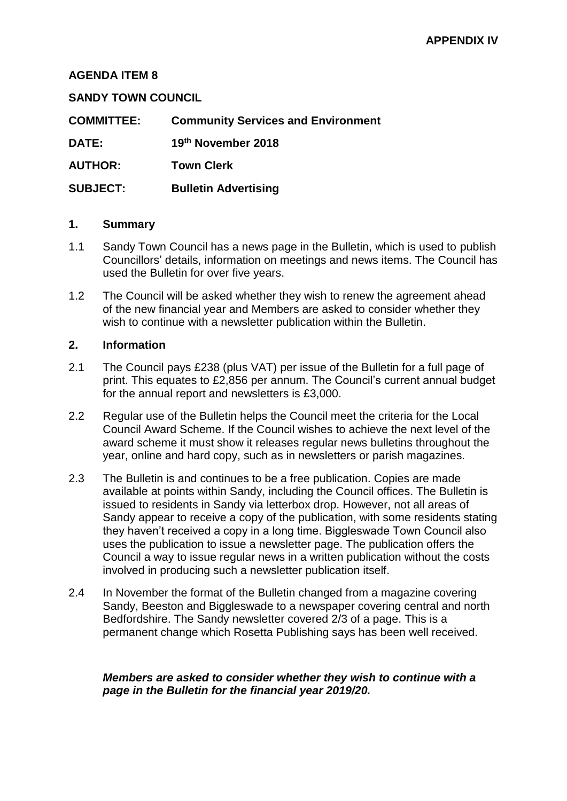#### **AGENDA ITEM 8**

#### **SANDY TOWN COUNCIL**

| <b>COMMITTEE:</b> | <b>Community Services and Environment</b> |
|-------------------|-------------------------------------------|
| <b>DATE:</b>      | 19th November 2018                        |
| <b>AUTHOR:</b>    | <b>Town Clerk</b>                         |
| <b>SUBJECT:</b>   | <b>Bulletin Advertising</b>               |

#### **1. Summary**

- 1.1 Sandy Town Council has a news page in the Bulletin, which is used to publish Councillors' details, information on meetings and news items. The Council has used the Bulletin for over five years.
- 1.2 The Council will be asked whether they wish to renew the agreement ahead of the new financial year and Members are asked to consider whether they wish to continue with a newsletter publication within the Bulletin.

#### **2. Information**

- 2.1 The Council pays £238 (plus VAT) per issue of the Bulletin for a full page of print. This equates to £2,856 per annum. The Council's current annual budget for the annual report and newsletters is £3,000.
- 2.2 Regular use of the Bulletin helps the Council meet the criteria for the Local Council Award Scheme. If the Council wishes to achieve the next level of the award scheme it must show it releases regular news bulletins throughout the year, online and hard copy, such as in newsletters or parish magazines.
- 2.3 The Bulletin is and continues to be a free publication. Copies are made available at points within Sandy, including the Council offices. The Bulletin is issued to residents in Sandy via letterbox drop. However, not all areas of Sandy appear to receive a copy of the publication, with some residents stating they haven't received a copy in a long time. Biggleswade Town Council also uses the publication to issue a newsletter page. The publication offers the Council a way to issue regular news in a written publication without the costs involved in producing such a newsletter publication itself.
- 2.4 In November the format of the Bulletin changed from a magazine covering Sandy, Beeston and Biggleswade to a newspaper covering central and north Bedfordshire. The Sandy newsletter covered 2/3 of a page. This is a permanent change which Rosetta Publishing says has been well received.

#### *Members are asked to consider whether they wish to continue with a page in the Bulletin for the financial year 2019/20.*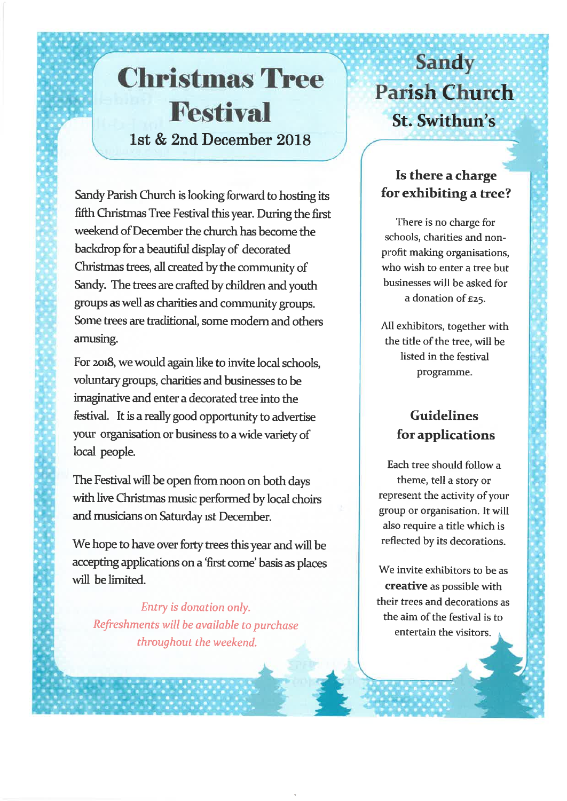## **Christmas Tree Festival** 1st & 2nd December 2018

Sandy Parish Church is looking forward to hosting its fifth Christmas Tree Festival this year. During the first weekend of December the church has become the backdrop for a beautiful display of decorated Christmas trees, all created by the community of Sandy. The trees are crafted by children and youth groups as well as charities and community groups. Some trees are traditional, some modern and others amusing.

For 2018, we would again like to invite local schools, voluntary groups, charities and businesses to be imaginative and enter a decorated tree into the festival. It is a really good opportunity to advertise your organisation or business to a wide variety of local people.

The Festival will be open from noon on both days with live Christmas music performed by local choirs and musicians on Saturday ist December.

We hope to have over forty trees this year and will be accepting applications on a 'first come' basis as places will be limited.

Entry is donation only. Refreshments will be available to purchase throughout the weekend.

## **Sandy Parish Church** St. Swithun's

### Is there a charge for exhibiting a tree?

There is no charge for schools, charities and nonprofit making organisations, who wish to enter a tree but businesses will be asked for a donation of £25.

All exhibitors, together with the title of the tree, will be listed in the festival programme.

### **Guidelines** for applications

Each tree should follow a theme, tell a story or represent the activity of your group or organisation. It will also require a title which is reflected by its decorations.

We invite exhibitors to be as creative as possible with their trees and decorations as the aim of the festival is to entertain the visitors.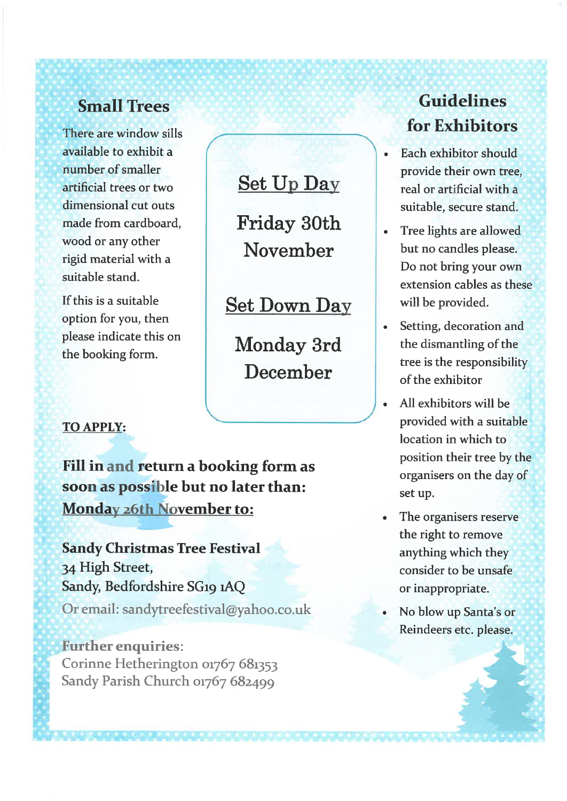## **Small Trees**

There are window sills available to exhibit a number of smaller artificial trees or two dimensional cut outs made from cardboard. wood or any other rigid material with a suitable stand.

If this is a suitable option for you, then please indicate this on the booking form.

## **Set Up Day**

Friday 30th November

**Set Down Day** 

Monday 3rd December

#### **TO APPLY:**

Fill in and return a booking form as soon as possible but no later than: **Monday 26th November to:** 

**Sandy Christmas Tree Festival** 34 High Street, Sandy, Bedfordshire SG19 1AQ Or email: sandytreefestival@yahoo.co.uk

**Further enquiries:** Corinne Hetherington 01767 681353 Sandy Parish Church 01767 682499

## Guidelines for Exhibitors

- Each exhibitor should provide their own tree, real or artificial with a suitable, secure stand.
- Tree lights are allowed but no candles please. Do not bring your own extension cables as these will be provided.
- Setting, decoration and the dismantling of the tree is the responsibility of the exhibitor
- All exhibitors will be provided with a suitable location in which to position their tree by the organisers on the day of set up.
- The organisers reserve the right to remove anything which they consider to be unsafe or inappropriate.
- No blow up Santa's or Reindeers etc. please.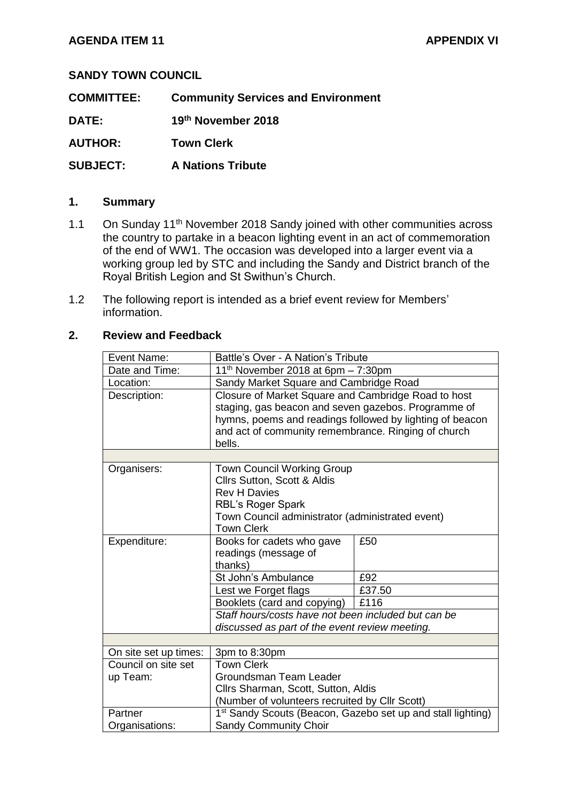#### **SANDY TOWN COUNCIL**

**COMMITTEE: Community Services and Environment** 

**DATE: 19th November 2018**

**AUTHOR: Town Clerk**

**SUBJECT: A Nations Tribute**

#### **1. Summary**

- 1.1 On Sunday 11<sup>th</sup> November 2018 Sandy joined with other communities across the country to partake in a beacon lighting event in an act of commemoration of the end of WW1. The occasion was developed into a larger event via a working group led by STC and including the Sandy and District branch of the Royal British Legion and St Swithun's Church.
- 1.2 The following report is intended as a brief event review for Members' information.

#### **2. Review and Feedback**

| Event Name:           | Battle's Over - A Nation's Tribute                                                                                                                                                                                                      |        |  |
|-----------------------|-----------------------------------------------------------------------------------------------------------------------------------------------------------------------------------------------------------------------------------------|--------|--|
| Date and Time:        | 11 <sup>th</sup> November 2018 at 6pm $-7:30$ pm                                                                                                                                                                                        |        |  |
| Location:             | Sandy Market Square and Cambridge Road                                                                                                                                                                                                  |        |  |
| Description:          | Closure of Market Square and Cambridge Road to host<br>staging, gas beacon and seven gazebos. Programme of<br>hymns, poems and readings followed by lighting of beacon<br>and act of community remembrance. Ringing of church<br>bells. |        |  |
|                       |                                                                                                                                                                                                                                         |        |  |
| Organisers:           | <b>Town Council Working Group</b><br>Cllrs Sutton, Scott & Aldis<br><b>Rev H Davies</b><br><b>RBL's Roger Spark</b><br>Town Council administrator (administrated event)<br><b>Town Clerk</b>                                            |        |  |
| Expenditure:          | Books for cadets who gave<br>readings (message of<br>thanks)                                                                                                                                                                            | £50    |  |
|                       | St John's Ambulance                                                                                                                                                                                                                     | £92    |  |
|                       | Lest we Forget flags                                                                                                                                                                                                                    | £37.50 |  |
|                       | Booklets (card and copying)                                                                                                                                                                                                             | £116   |  |
|                       | Staff hours/costs have not been included but can be<br>discussed as part of the event review meeting.                                                                                                                                   |        |  |
|                       |                                                                                                                                                                                                                                         |        |  |
| On site set up times: | 3pm to 8:30pm                                                                                                                                                                                                                           |        |  |
| Council on site set   | <b>Town Clerk</b>                                                                                                                                                                                                                       |        |  |
| up Team:              | Groundsman Team Leader                                                                                                                                                                                                                  |        |  |
|                       | Cllrs Sharman, Scott, Sutton, Aldis                                                                                                                                                                                                     |        |  |
|                       | (Number of volunteers recruited by Cllr Scott)                                                                                                                                                                                          |        |  |
| Partner               | 1 <sup>st</sup> Sandy Scouts (Beacon, Gazebo set up and stall lighting)                                                                                                                                                                 |        |  |
| Organisations:        | <b>Sandy Community Choir</b>                                                                                                                                                                                                            |        |  |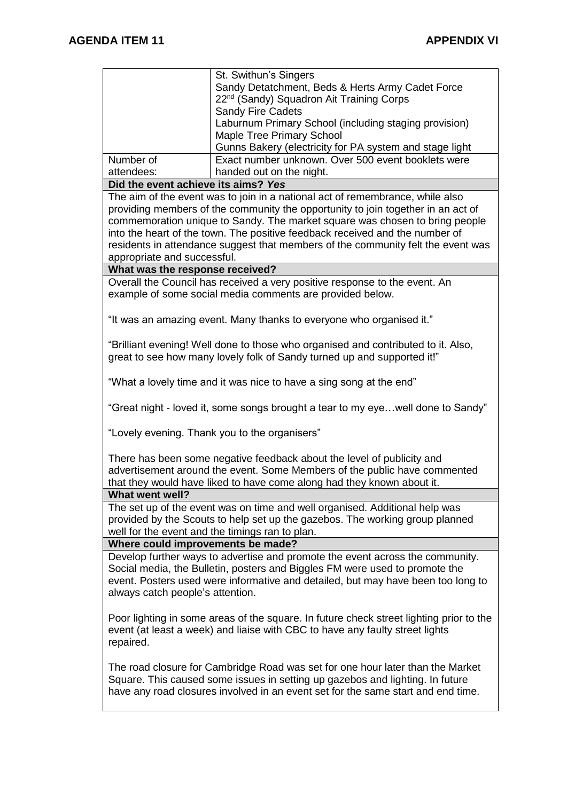|                                                                                                                                                                                                                                                                                      | St. Swithun's Singers<br>Sandy Detatchment, Beds & Herts Army Cadet Force<br>22 <sup>nd</sup> (Sandy) Squadron Ait Training Corps                                                                                                                                                                                                   |  |  |  |
|--------------------------------------------------------------------------------------------------------------------------------------------------------------------------------------------------------------------------------------------------------------------------------------|-------------------------------------------------------------------------------------------------------------------------------------------------------------------------------------------------------------------------------------------------------------------------------------------------------------------------------------|--|--|--|
|                                                                                                                                                                                                                                                                                      | <b>Sandy Fire Cadets</b>                                                                                                                                                                                                                                                                                                            |  |  |  |
|                                                                                                                                                                                                                                                                                      | Laburnum Primary School (including staging provision)<br><b>Maple Tree Primary School</b>                                                                                                                                                                                                                                           |  |  |  |
|                                                                                                                                                                                                                                                                                      | Gunns Bakery (electricity for PA system and stage light                                                                                                                                                                                                                                                                             |  |  |  |
| Number of                                                                                                                                                                                                                                                                            | Exact number unknown. Over 500 event booklets were                                                                                                                                                                                                                                                                                  |  |  |  |
| attendees:                                                                                                                                                                                                                                                                           | handed out on the night.                                                                                                                                                                                                                                                                                                            |  |  |  |
| Did the event achieve its aims? Yes                                                                                                                                                                                                                                                  |                                                                                                                                                                                                                                                                                                                                     |  |  |  |
|                                                                                                                                                                                                                                                                                      | The aim of the event was to join in a national act of remembrance, while also                                                                                                                                                                                                                                                       |  |  |  |
|                                                                                                                                                                                                                                                                                      | providing members of the community the opportunity to join together in an act of<br>commemoration unique to Sandy. The market square was chosen to bring people<br>into the heart of the town. The positive feedback received and the number of<br>residents in attendance suggest that members of the community felt the event was |  |  |  |
| appropriate and successful.                                                                                                                                                                                                                                                          |                                                                                                                                                                                                                                                                                                                                     |  |  |  |
| What was the response received?                                                                                                                                                                                                                                                      | Overall the Council has received a very positive response to the event. An                                                                                                                                                                                                                                                          |  |  |  |
|                                                                                                                                                                                                                                                                                      | example of some social media comments are provided below.                                                                                                                                                                                                                                                                           |  |  |  |
|                                                                                                                                                                                                                                                                                      | "It was an amazing event. Many thanks to everyone who organised it."                                                                                                                                                                                                                                                                |  |  |  |
|                                                                                                                                                                                                                                                                                      | "Brilliant evening! Well done to those who organised and contributed to it. Also,<br>great to see how many lovely folk of Sandy turned up and supported it!"                                                                                                                                                                        |  |  |  |
|                                                                                                                                                                                                                                                                                      | "What a lovely time and it was nice to have a sing song at the end"                                                                                                                                                                                                                                                                 |  |  |  |
| "Great night - loved it, some songs brought a tear to my eyewell done to Sandy"                                                                                                                                                                                                      |                                                                                                                                                                                                                                                                                                                                     |  |  |  |
| "Lovely evening. Thank you to the organisers"                                                                                                                                                                                                                                        |                                                                                                                                                                                                                                                                                                                                     |  |  |  |
| There has been some negative feedback about the level of publicity and<br>advertisement around the event. Some Members of the public have commented<br>that they would have liked to have come along had they known about it.                                                        |                                                                                                                                                                                                                                                                                                                                     |  |  |  |
| What went well?                                                                                                                                                                                                                                                                      |                                                                                                                                                                                                                                                                                                                                     |  |  |  |
| The set up of the event was on time and well organised. Additional help was<br>provided by the Scouts to help set up the gazebos. The working group planned<br>well for the event and the timings ran to plan.                                                                       |                                                                                                                                                                                                                                                                                                                                     |  |  |  |
| Where could improvements be made?                                                                                                                                                                                                                                                    |                                                                                                                                                                                                                                                                                                                                     |  |  |  |
| Develop further ways to advertise and promote the event across the community.<br>Social media, the Bulletin, posters and Biggles FM were used to promote the<br>event. Posters used were informative and detailed, but may have been too long to<br>always catch people's attention. |                                                                                                                                                                                                                                                                                                                                     |  |  |  |
| repaired.                                                                                                                                                                                                                                                                            | Poor lighting in some areas of the square. In future check street lighting prior to the<br>event (at least a week) and liaise with CBC to have any faulty street lights                                                                                                                                                             |  |  |  |
| The road closure for Cambridge Road was set for one hour later than the Market<br>Square. This caused some issues in setting up gazebos and lighting. In future<br>have any road closures involved in an event set for the same start and end time.                                  |                                                                                                                                                                                                                                                                                                                                     |  |  |  |
|                                                                                                                                                                                                                                                                                      |                                                                                                                                                                                                                                                                                                                                     |  |  |  |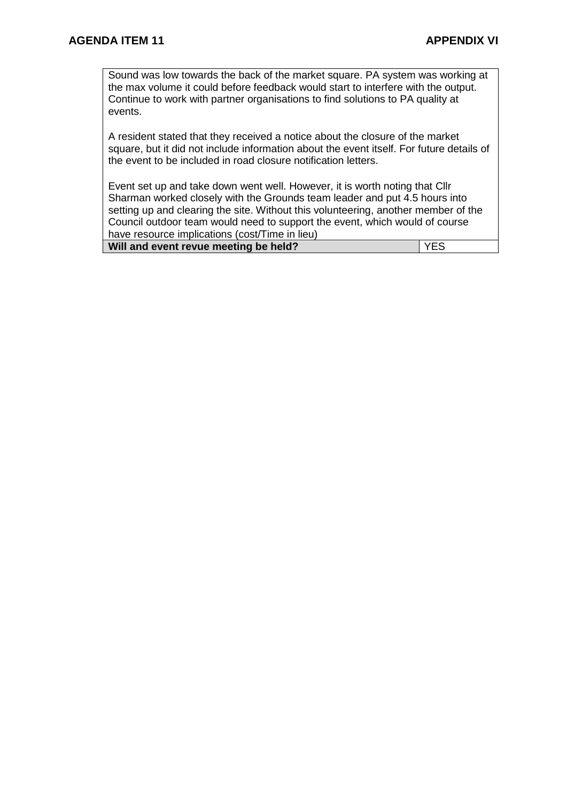Sound was low towards the back of the market square. PA system was working at the max volume it could before feedback would start to interfere with the output. Continue to work with partner organisations to find solutions to PA quality at events.

A resident stated that they received a notice about the closure of the market square, but it did not include information about the event itself. For future details of the event to be included in road closure notification letters.

Event set up and take down went well. However, it is worth noting that Cllr Sharman worked closely with the Grounds team leader and put 4.5 hours into setting up and clearing the site. Without this volunteering, another member of the Council outdoor team would need to support the event, which would of course have resource implications (cost/Time in lieu)

| Will and event revue meeting be held? |  | l YES |
|---------------------------------------|--|-------|